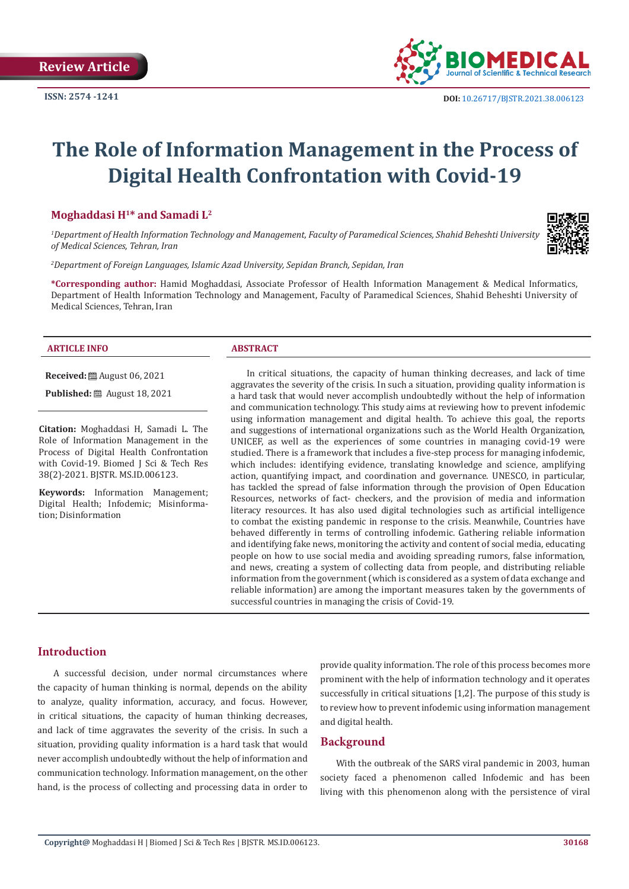**ISSN: 2574 -1241**



# **The Role of Information Management in the Process of Digital Health Confrontation with Covid-19**

# **Moghaddasi H1\* and Samadi L2**

*1 Department of Health Information Technology and Management, Faculty of Paramedical Sciences, Shahid Beheshti University of Medical Sciences, Tehran, Iran*

*2 Department of Foreign Languages, Islamic Azad University, Sepidan Branch, Sepidan, Iran*

**\*Corresponding author:** Hamid Moghaddasi, Associate Professor of Health Information Management & Medical Informatics, Department of Health Information Technology and Management, Faculty of Paramedical Sciences, Shahid Beheshti University of Medical Sciences, Tehran, Iran

#### **ARTICLE INFO ABSTRACT**

**Received:** August 06, 2021

**Published:** ■ August 18, 2021

**Citation:** Moghaddasi H, Samadi L. The Role of Information Management in the Process of Digital Health Confrontation with Covid-19. Biomed J Sci & Tech Res 38(2)-2021. BJSTR. MS.ID.006123.

**Keywords:** Information Management; Digital Health; Infodemic; Misinformation; Disinformation

In critical situations, the capacity of human thinking decreases, and lack of time aggravates the severity of the crisis. In such a situation, providing quality information is a hard task that would never accomplish undoubtedly without the help of information and communication technology. This study aims at reviewing how to prevent infodemic using information management and digital health. To achieve this goal, the reports and suggestions of international organizations such as the World Health Organization, UNICEF, as well as the experiences of some countries in managing covid-19 were studied. There is a framework that includes a five-step process for managing infodemic, which includes: identifying evidence, translating knowledge and science, amplifying action, quantifying impact, and coordination and governance. UNESCO, in particular, has tackled the spread of false information through the provision of Open Education Resources, networks of fact- checkers, and the provision of media and information literacy resources. It has also used digital technologies such as artificial intelligence to combat the existing pandemic in response to the crisis. Meanwhile, Countries have behaved differently in terms of controlling infodemic. Gathering reliable information and identifying fake news, monitoring the activity and content of social media, educating people on how to use social media and avoiding spreading rumors, false information, and news, creating a system of collecting data from people, and distributing reliable information from the government (which is considered as a system of data exchange and reliable information) are among the important measures taken by the governments of successful countries in managing the crisis of Covid-19.

# **Introduction**

A successful decision, under normal circumstances where the capacity of human thinking is normal, depends on the ability to analyze, quality information, accuracy, and focus. However, in critical situations, the capacity of human thinking decreases, and lack of time aggravates the severity of the crisis. In such a situation, providing quality information is a hard task that would never accomplish undoubtedly without the help of information and communication technology. Information management, on the other hand, is the process of collecting and processing data in order to

provide quality information. The role of this process becomes more prominent with the help of information technology and it operates successfully in critical situations [1,2]. The purpose of this study is to review how to prevent infodemic using information management and digital health.

# **Background**

With the outbreak of the SARS viral pandemic in 2003, human society faced a phenomenon called Infodemic and has been living with this phenomenon along with the persistence of viral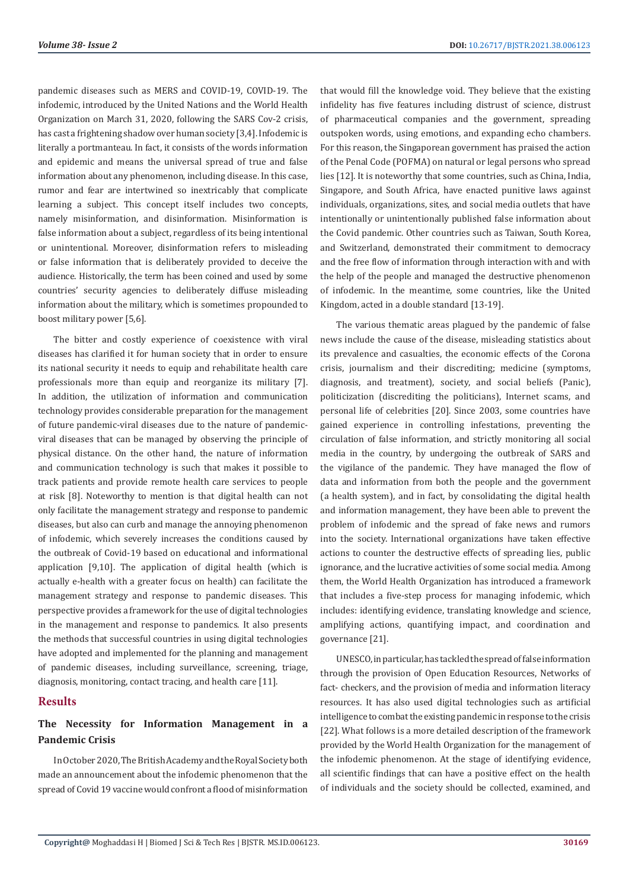pandemic diseases such as MERS and COVID-19, COVID-19. The infodemic, introduced by the United Nations and the World Health Organization on March 31, 2020, following the SARS Cov-2 crisis, has cast a frightening shadow over human society [3,4]. Infodemic is literally a portmanteau. In fact, it consists of the words information and epidemic and means the universal spread of true and false information about any phenomenon, including disease. In this case, rumor and fear are intertwined so inextricably that complicate learning a subject. This concept itself includes two concepts, namely misinformation, and disinformation. Misinformation is false information about a subject, regardless of its being intentional or unintentional. Moreover, disinformation refers to misleading or false information that is deliberately provided to deceive the audience. Historically, the term has been coined and used by some countries' security agencies to deliberately diffuse misleading information about the military, which is sometimes propounded to boost military power [5,6].

The bitter and costly experience of coexistence with viral diseases has clarified it for human society that in order to ensure its national security it needs to equip and rehabilitate health care professionals more than equip and reorganize its military [7]. In addition, the utilization of information and communication technology provides considerable preparation for the management of future pandemic-viral diseases due to the nature of pandemicviral diseases that can be managed by observing the principle of physical distance. On the other hand, the nature of information and communication technology is such that makes it possible to track patients and provide remote health care services to people at risk [8]. Noteworthy to mention is that digital health can not only facilitate the management strategy and response to pandemic diseases, but also can curb and manage the annoying phenomenon of infodemic, which severely increases the conditions caused by the outbreak of Covid-19 based on educational and informational application [9,10]. The application of digital health (which is actually e-health with a greater focus on health) can facilitate the management strategy and response to pandemic diseases. This perspective provides a framework for the use of digital technologies in the management and response to pandemics. It also presents the methods that successful countries in using digital technologies have adopted and implemented for the planning and management of pandemic diseases, including surveillance, screening, triage, diagnosis, monitoring, contact tracing, and health care [11].

# **Results**

# **The Necessity for Information Management in a Pandemic Crisis**

In October 2020, The British Academy and the Royal Society both made an announcement about the infodemic phenomenon that the spread of Covid 19 vaccine would confront a flood of misinformation

that would fill the knowledge void. They believe that the existing infidelity has five features including distrust of science, distrust of pharmaceutical companies and the government, spreading outspoken words, using emotions, and expanding echo chambers. For this reason, the Singaporean government has praised the action of the Penal Code (POFMA) on natural or legal persons who spread lies [12]. It is noteworthy that some countries, such as China, India, Singapore, and South Africa, have enacted punitive laws against individuals, organizations, sites, and social media outlets that have intentionally or unintentionally published false information about the Covid pandemic. Other countries such as Taiwan, South Korea, and Switzerland, demonstrated their commitment to democracy and the free flow of information through interaction with and with the help of the people and managed the destructive phenomenon of infodemic. In the meantime, some countries, like the United Kingdom, acted in a double standard [13-19].

The various thematic areas plagued by the pandemic of false news include the cause of the disease, misleading statistics about its prevalence and casualties, the economic effects of the Corona crisis, journalism and their discrediting; medicine (symptoms, diagnosis, and treatment), society, and social beliefs (Panic), politicization (discrediting the politicians), Internet scams, and personal life of celebrities [20]. Since 2003, some countries have gained experience in controlling infestations, preventing the circulation of false information, and strictly monitoring all social media in the country, by undergoing the outbreak of SARS and the vigilance of the pandemic. They have managed the flow of data and information from both the people and the government (a health system), and in fact, by consolidating the digital health and information management, they have been able to prevent the problem of infodemic and the spread of fake news and rumors into the society. International organizations have taken effective actions to counter the destructive effects of spreading lies, public ignorance, and the lucrative activities of some social media. Among them, the World Health Organization has introduced a framework that includes a five-step process for managing infodemic, which includes: identifying evidence, translating knowledge and science, amplifying actions, quantifying impact, and coordination and governance [21].

UNESCO, in particular, has tackled the spread of false information through the provision of Open Education Resources, Networks of fact- checkers, and the provision of media and information literacy resources. It has also used digital technologies such as artificial intelligence to combat the existing pandemic in response to the crisis [22]. What follows is a more detailed description of the framework provided by the World Health Organization for the management of the infodemic phenomenon. At the stage of identifying evidence, all scientific findings that can have a positive effect on the health of individuals and the society should be collected, examined, and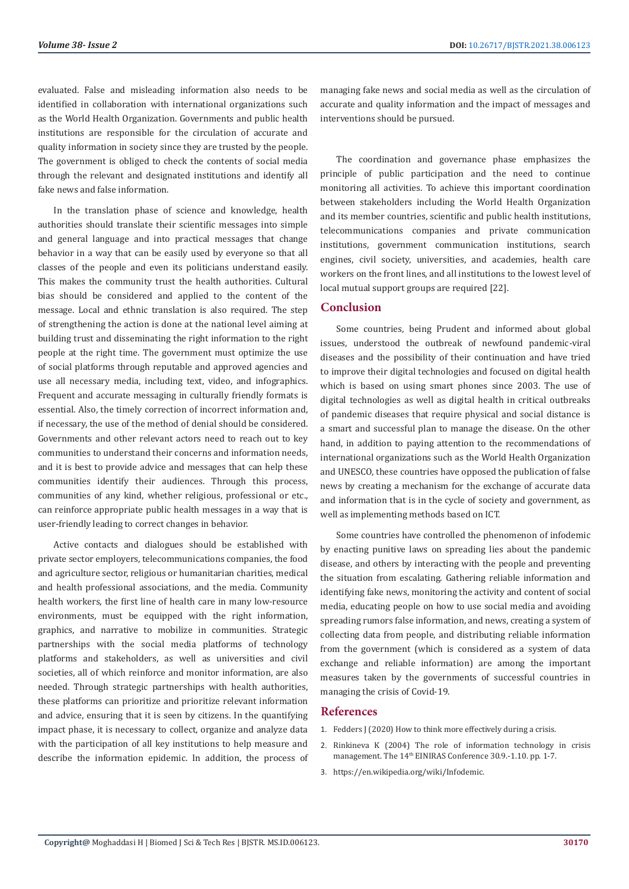evaluated. False and misleading information also needs to be identified in collaboration with international organizations such as the World Health Organization. Governments and public health institutions are responsible for the circulation of accurate and quality information in society since they are trusted by the people. The government is obliged to check the contents of social media through the relevant and designated institutions and identify all fake news and false information.

In the translation phase of science and knowledge, health authorities should translate their scientific messages into simple and general language and into practical messages that change behavior in a way that can be easily used by everyone so that all classes of the people and even its politicians understand easily. This makes the community trust the health authorities. Cultural bias should be considered and applied to the content of the message. Local and ethnic translation is also required. The step of strengthening the action is done at the national level aiming at building trust and disseminating the right information to the right people at the right time. The government must optimize the use of social platforms through reputable and approved agencies and use all necessary media, including text, video, and infographics. Frequent and accurate messaging in culturally friendly formats is essential. Also, the timely correction of incorrect information and, if necessary, the use of the method of denial should be considered. Governments and other relevant actors need to reach out to key communities to understand their concerns and information needs, and it is best to provide advice and messages that can help these communities identify their audiences. Through this process, communities of any kind, whether religious, professional or etc., can reinforce appropriate public health messages in a way that is user-friendly leading to correct changes in behavior.

Active contacts and dialogues should be established with private sector employers, telecommunications companies, the food and agriculture sector, religious or humanitarian charities, medical and health professional associations, and the media. Community health workers, the first line of health care in many low-resource environments, must be equipped with the right information, graphics, and narrative to mobilize in communities. Strategic partnerships with the social media platforms of technology platforms and stakeholders, as well as universities and civil societies, all of which reinforce and monitor information, are also needed. Through strategic partnerships with health authorities, these platforms can prioritize and prioritize relevant information and advice, ensuring that it is seen by citizens. In the quantifying impact phase, it is necessary to collect, organize and analyze data with the participation of all key institutions to help measure and describe the information epidemic. In addition, the process of managing fake news and social media as well as the circulation of accurate and quality information and the impact of messages and interventions should be pursued.

The coordination and governance phase emphasizes the principle of public participation and the need to continue monitoring all activities. To achieve this important coordination between stakeholders including the World Health Organization and its member countries, scientific and public health institutions, telecommunications companies and private communication institutions, government communication institutions, search engines, civil society, universities, and academies, health care workers on the front lines, and all institutions to the lowest level of local mutual support groups are required [22].

## **Conclusion**

Some countries, being Prudent and informed about global issues, understood the outbreak of newfound pandemic-viral diseases and the possibility of their continuation and have tried to improve their digital technologies and focused on digital health which is based on using smart phones since 2003. The use of digital technologies as well as digital health in critical outbreaks of pandemic diseases that require physical and social distance is a smart and successful plan to manage the disease. On the other hand, in addition to paying attention to the recommendations of international organizations such as the World Health Organization and UNESCO, these countries have opposed the publication of false news by creating a mechanism for the exchange of accurate data and information that is in the cycle of society and government, as well as implementing methods based on ICT.

Some countries have controlled the phenomenon of infodemic by enacting punitive laws on spreading lies about the pandemic disease, and others by interacting with the people and preventing the situation from escalating. Gathering reliable information and identifying fake news, monitoring the activity and content of social media, educating people on how to use social media and avoiding spreading rumors false information, and news, creating a system of collecting data from people, and distributing reliable information from the government (which is considered as a system of data exchange and reliable information) are among the important measures taken by the governments of successful countries in managing the crisis of Covid-19.

#### **References**

- 1. [Fedders J \(2020\) How to think more effectively during a crisis.](https://www.ctpost.com/business/article/How-to-Think-More-Effectively-During-a-Crisis-15259159.php)
- 2. [Rinkineva K \(2004\) The role of information technology in crisis](https://ict4peace.org/wp-content/uploads/2007/06/Rinkineva-Kristiina-The-Role-of-Information-Technology-in-Crisis-Management-2004.pdf) management. The 14<sup>th</sup> EINIRAS Conference 30.9.-1.10. pp. 1-7.
- 3. <https://en.wikipedia.org/wiki/Infodemic>[.](https://en.wikipedia.org/wiki/Infodemic.)